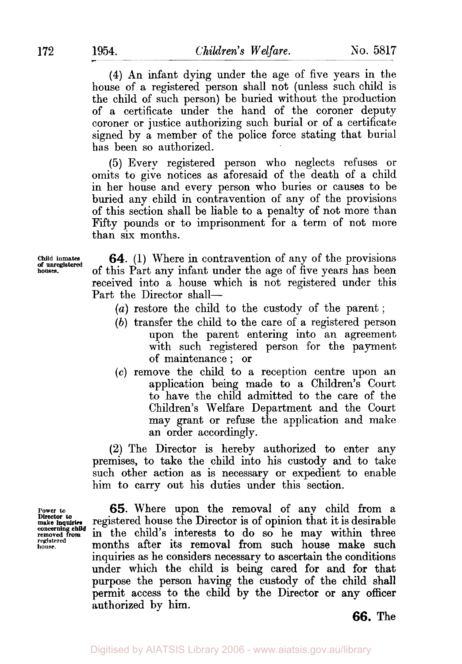**(4)** An infant dying under the age of five years in the house of a registered person shall not (unless such child is the child of such person) be buried without the production of a certificate under the hand of the coroner deputy coroner or justice authorizing such burial or of a certificate signed by a member of the police force stating that burial has been so authorized.

(5) Every registered person who neglects refuses or omits to give notices as aforesaid of the death of a child in her house and every person who buries or causes to be buried any child in contravention of any of the provisions of this section shall be liable to a penalty of not **more** than Fifty pounds or to imprisonment for a term of not more than *six* months.

**Child inmates houses. of unregistered** 

**64.** (1) Where in contravention of any of the provisions of this Part any infant under the age of five years has been received into a house which is not registered under this Part the Director shall-

- *(a)* restore the child to the custody of the parent;
- *(b)* transfer the child to the care of a registered person upon the parent entering into an agreement with such registered person for the payment of maintenance ; or
- *(c)* remove the child to a reception centre upon an application being made to a Children's Court to have the child admitted to the care of the Children's Welfare Department and the Court may grant or refuse the application and make an order accordingly.

**(2)** The Director is hereby authorized to enter any premises, to take the child into his custody and to take such other action as is necessary or expedient to enable him to carry out his duties under this section.

**Director** *to*  concerning child<br>removed from **registered house.** 

**65.** Where upon the removal of any child from a **make inquiries** registered house the Director is of opinion that it is desirable in the child's interests to do so he may within three months after its removal from such house make such inquiries as he considers necessary to ascertain the conditions under which the child is being cared for and for that purpose the person having the custody of the child shall permit access to the child by the Director or any officer authorized by him.

**66.** The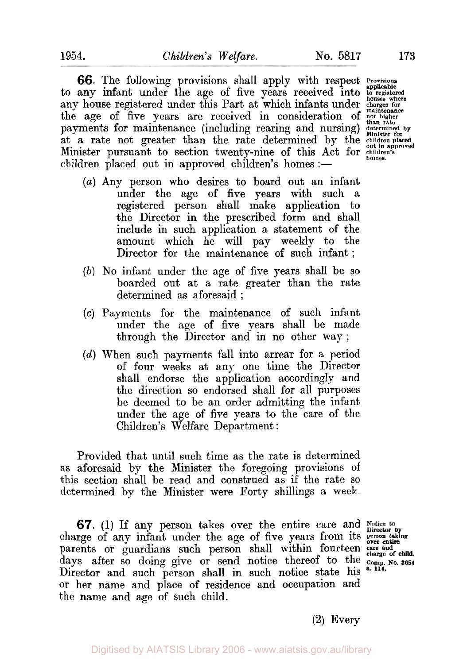**66.** The following provisions shall apply with respect **Provisions**  to any infant under the age of five years received into **to registered** any house registered under this Part at which infants under the bouses where<br>any house registered under this Part at which infants under charges for the age of five years are received in consideration of not higher payments for maintenance (including rearing and nursing) determined by at a rate not greater than the rate determined by the children placed Minister pursuant to section twenty-nine of this Act for *children's* children placed out in approved children's homes :-

- (a) Any person who desires to board out an infant under the age of five years with such a registered person shall make application to the Director in the prescribed form and shall include in such application a statement of the amount which he will pay weekly to the Director for the maintenance of such infant ;
- *(b)* No infant under the age of five years shall be so boarded out at a rate greater than the rate determined as aforesaid ;
- *(c)* Payments for the maintenance of such infant under the age of five years shall be made through the Director and in no other way;
- *(d)* When such payments fall into arrear for a period of four weeks at any one time the Director shall endorse the application accordingly and the direction so endorsed shall for all purposes be deemed to be an order admitting the infant under the age of five years to the care of the Children's Welfare Department :

Provided that until such time as the rate is determined as aforesaid by the Minister the foregoing provisions of this section shall be read and construed as if the rate so determined by the Minister were Forty shillings a week.

*67.* (1) If any person takes over the entire care and charge of any infant under the age of five years from its **person taking** *over entire over entire* parents or guardians such person shall within fourteen *care and charge of*  days after so doing give or send notice thereof to the **Comp. No. 3654**  Director and such person shall in such notice state his \*.114. or her name and place of residence and occupation and the name and age of such child.

**(2)** Every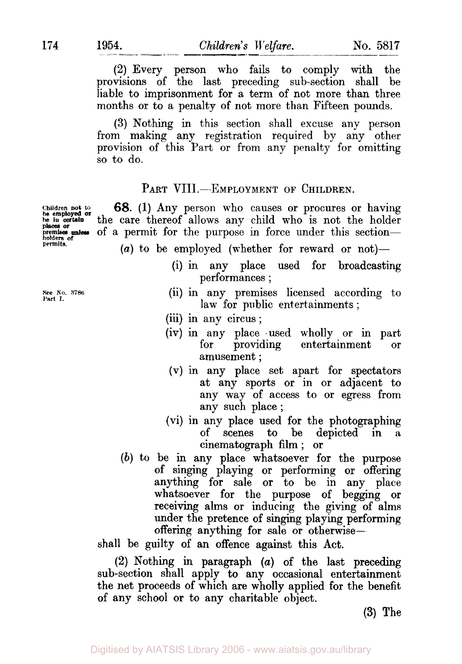(2) Every person who fails to comply with the provisions of the last preceding sub-section shall be liable to imprisonment for a term of not more than three months or to a penalty **of** not more than Fifteen pounds.

**(3)** Nothing in this section shall excuse any person from making any registration required by any other provision of this Part or from any penalty for omitting so to do.

## PART VIII.-EMPLOYMENT OF CHILDREN.

**68.** (1) Any person who causes or procures or having the care thereof allows any child who is not the holder of a permit for the purpose in force under this section-

- $(a)$  to be employed (whether for reward or not)-
	- (i) in any place used for broadcasting performances ;
	- (ii) in any premises licensed according to law for public entertainments ;
	- (iii) in any circus ;
	- (iv) in any place used wholly or in part for providing entertainment or amusement ;
	- (V) in any place set apart for spectators at any sports or in or adjacent to any way of access to or egress from any such place;
	- (vi) in any place used for the photographing of scenes to be depicted in cinematograph **film** ; or
- *(b)* to be in any place whatsoever for the purpose of singing playing or performing or offering anything for sale or to be in any place whatsoever for the purpose of begging or receiving alms or inducing the giving of alms under the pretence of singing playing performing offering anything for sale or otherwise-

shall be guilty of an offence against this Act.

(2) Nothing in paragraph *(a)* of the last preceding sub-section shall apply to any occasional entertainment the net proceeds of which are wholly applied for the benefit of any school or to any charitable object.

**(3)** The

**he employed or places or**  premises unless<br>holders of<br>permits.

**See No. 3786: Part I.**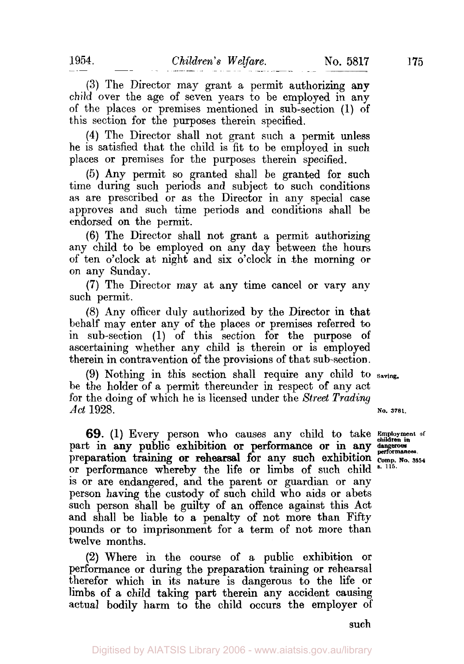**(3)** The Director may grant a permit authorizing **any**  child over the age of seven years to be employed in any of the places or premises mentioned in sub-section (1) of this section for the purposes therein specified.

**(4)** The Director shall not grant such a permit unless he is satisfied that the child is fit to be employed in such places or premises for the purposes therein specified.

(5) Any permit so granted shall be granted for such time during such periods and subject to such conditions **as** are prescribed or as the Director in any special case approves and such time periods and conditions shall be endorsed on the permit.

**(6)** The Director shall not grant a permit authorizing any child to be employed on any day between the hours of ten o'clock at night and six o'clock in .the morning or on any Sunday.

**(7)** The Director may at any time cancel or vary any such permit.

(8) Any officer duly authorized by the Director in that behalf may enter any of the places or premises referred to in sub-section (1) of this section for the purpose **of**  ascertaining whether any child is therein or is employed therein in contravention of the provisions of that sub-section.

be the holder of a permit thereunder in respect of any act for the doing of which he is licensed under the *Street Trading*  **(9)** Nothing in this section shall require any child to **Saving.**  *Act* 1928. **No. 3781.** 

**Employment of 69.** (1) Every person who causes any child to take **children in**  preparation training or rehearsal for any such exhibition  $\frac{1}{2}$  comp. part in any public exhibition or performance or in any dangerous performances. preparation training or renearsal for any such exhibition comp. No. 3654<br>or performance whereby the life or limbs of such child \*.<sup>115.</sup> is or are endangered, and the parent or guardian or any person having the custody of such child who aids or abets such person shall be guilty of an offence against this Act and shall be liable to a penalty of not more than Fifty pounds or to imprisonment for a term of not more than twelve months.

**(2)** Where in the course of a public exhibition or performance or during the preparation training or rehearsal therefor which in its nature is dangerous to the life or limbs of a child taking part therein any accident causing actual bodily harm to the child occurs the employer of

Digitised by AIATSIS Library 2006 - www.aiatsis.gov.au/library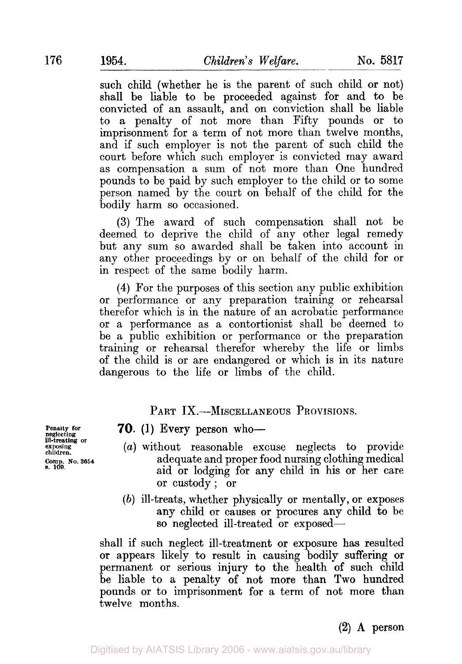such child (whether he is the parent of such child or not) shall be liable to be proceeded against for and to be convicted of an assault, and on conviction shall be liable to a penalty of not more than Fifty pounds **or** to imprisonment for a term of not more than twelve months, and if such employer is not the parent of such child the court before which such employer is convicted may award as compensation a sum of not more than One hundred pounds to be paid by such employer to the child or to some person named by the court on behalf of the child for the bodily harm so occasioned.

**(3)** The award of such compensation shall not be deemed to deprive the child of any other legal remedy but any sum so awarded shall be taken into account in any other proceedings by or on behalf of the child for or in respect of the same bodily harm.

**(4)** For the purposes of this section any public exhibition or performance or any preparation training or rehearsal therefor which is in the nature of an acrobatic performance or a performance as a contortionist shall be deemed to be a public exhibition or performance or the preparation training or rehearsal therefor whereby the life or limbs of the child is or are endangered or which is in its nature dangerous to the life or limbs of the child.

PART IX.—MISCELLANEOUS PROVISIONS.

**neg**lecting<br>**ill-treating** or *s.* **109.** 

## **70.** (1) Every person who-

- **exposing children.** *(a)* without reasonable excuse neglects to provide **Comp. No. 3654** adequate and proper food nursing clothing medical aid or lodging for any child in his or her care or custody; or
	- *(b)* ill-treats, whether physically or mentally, or exposes any child or causes or procures any child to be so neglected ill-treated or exposed-

shall if such neglect ill-treatment **or** exposure has resulted or appears likely to result in causing bodily suffering **or**  permanent or serious injury to the health of such child be liable to a penalty of not more than Two hundred pounds or to imprisonment for a term of not more than twelve months.

**(2) A** person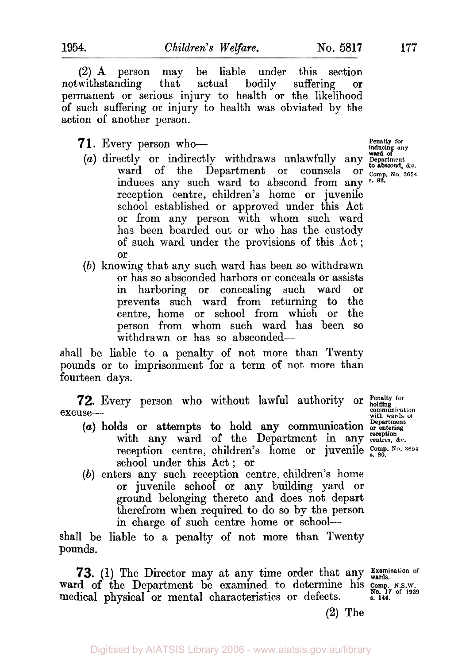**(2) A** person may be liable under this section notwithstanding that actual bodily suffering **or**  permanent or serious injury to health or the likelihood of such suffering or injury to health was obviated by the action of another person.

- 71. Every person who-
	- (a) directly or indirectly withdraws unlawfully any **Department**  $\kappa$ ward of the Department or counsels or **comp**, No. 3654 induces any such ward to abscond from any **s. 82.**  reception centre, children's home or juvenile school established or approved under this Act or from any person with whom such ward has been boarded out or who has the custody of such ward under the provisions of this Act ; or
	- *(b)* knowing that any such ward has been so withdrawn or has so absconded harbors or conceals or assists in harboring or concealing such ward or prevents such ward from returning to the centre, home or school from which or the person from whom such ward has been so withdrawn or has so absconded-

shall be liable to a penalty of not more than Twenty pounds or to imprisonment for a term of not more than fourteen days.

**72.** Every person who without lawful authority or **Penalty for** holding **COM** excuse---<br>with wards of the particular continuum of Department<br>Pepartment

- *(U)* holds or attempts to hold any communication **or entering**  with any ward of the Department in any reception  $\alpha_c$ . reception centre, children's home or juvenile  $\frac{\text{Comp. No. 3654}}{\text{s. 80}}$ school under this Act; **or**
- (b) enters any such reception centre, children's home or juvenile school or any building yard or ground belonging thereto and does not depart therefrom when required to do so by the person in charge of such centre home or school-

shall be liable to a penalty of not more than Twenty pounds.

**73. (1)** The Director may at any time order that any **Examination of wards.**  ward **of** the Department be examined to determine his **comp. N.S.W.**  medical physical **or** mental characteristics or defects. **No. 17 of 1939 s. 144.** 

**reception** 

**(2)** The

**Penalty for inducing any ward Of**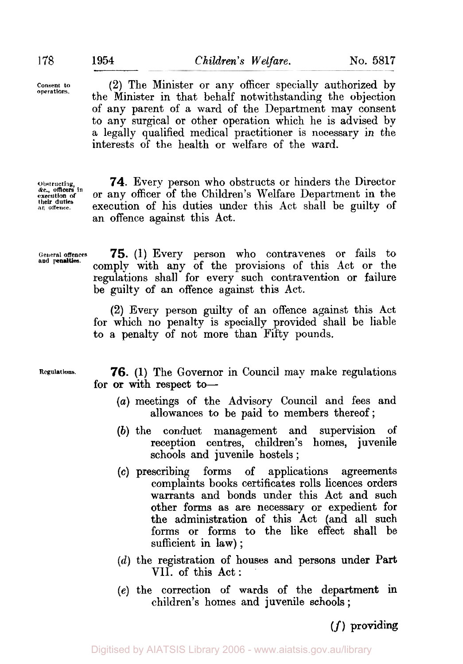**Consent to operations.** 

**(2)** The Minister or any officer specially authorized by the Minister in that behalf notwithstanding the objection of any parent of a ward of the Department may consent to any surgical or other operation which he is advised by a legally qualified medical practitioner is necessary in the interests of the health or welfare of the ward.

**Obstructing execution** *of*  **&c., officers in an offence. their duties** 

**74.** Every person who obstructs or hinders the Director or any officer of the Children's Welfare Department in the execution of his duties under this Act shall be guilty of an offence against this Act.

**and penalties.** 

**General offences 75. (1)** Every person who contravenes **or** fails to comply with any **of** the provisions of this Act or the regulations shall for every such contravention or failure be guilty of an offence against this Act.

> **(2)** Every person guilty **of** an offence against this Act for which no penalty is specially provided shall be liable to a penalty of not more than Fifty pounds.

**Regulations.** *76.* (1) The Governor in Council may make regulations for or with respect to-

- *(a)* meetings of the Advisory Council and fees and allowances to be paid to members thereof;
- *(b)* the conduct management and supervision **of**  reception centres, children's homes, juvenile schools and juvenile hostels ;
- *(c)* prescribing forms of applications agreements complaints books certificates rolls licences orders warrants and bonds under this Act and such other forms as are necessary or expedient **for**  the administration of this Act (and all such forms or forms to the like effect shall be sufficient **in** law) ;
- *(d)* the registration of houses and persons under **Part**  VII. of this Act:
- *(e)* the correction of wards of the department **in**  children's homes and juvenile schools ;

*(f)* providing

Digitised by AIATSIS Library 2006 - www.aiatsis.gov.au/library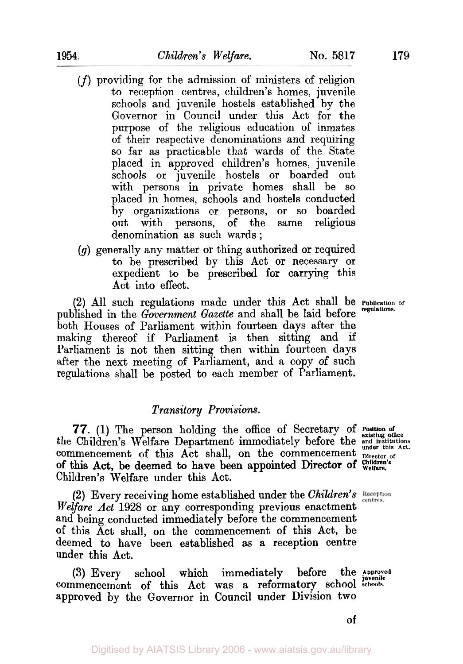Digitised by AIATSIS Library 2006 - www.aiatsis.gov.au/library

- *(f)* providing for the admission of ministers of religion to reception centres, children's homes, juvenile schools and juvenile hostels established by the Governor in Council under this Act for the purpose of the religious education of inmates of their respective denominations and requiring so far as practicable that wards of the State placed in approved children's homes, juvenile schools or juvenile hostels or boarded out with persons in private homes shall be so placed in homes, schools and hostels conducted by organizations or persons, or so boarded out with persons, of the same denomination as such wards ;
- *(g)* generally any matter or thing authorized or required to be prescribed by this Act or necessary or expedient to be prescribed for carrying this Act into effect.

**(2)** All such regulations made under this Act shall be **Publication of**  published in the *Government Gazette* and shall be laid before both Houses of Parliament within fourteen days after the making thereof if Parliament is then sitting and if Parliament is not then sitting then within fourteen days after the next meeting of Parliament, and a copy of such regulations shall be posted to each member of Parliament.

# *Transitory Provisions.*

**Position** *of 77.* **(1)** The person holding the office of Secretary of **existing office**  the Children's Welfare Department immediately before the and institutions commencement of this Act shall, on the commencement pirector of Children's Welfare under this Act. **Children's** of this Act, be deemed to have been appointed Director of **Welfare.** 

**(2)** Every receiving home established under the *Children's Welfare Act* **1928** or any corresponding previous enactment and being conducted immediately before the commencement of this Act shall, on the commencement of this Act, be deemed to have been established as a reception centre under this Act.

(3) Every school which immediately before the Approved commencement of this Act was a reformatory school schools. approved by the Governor in Council under Division two (3) Every school which immediately before

**of**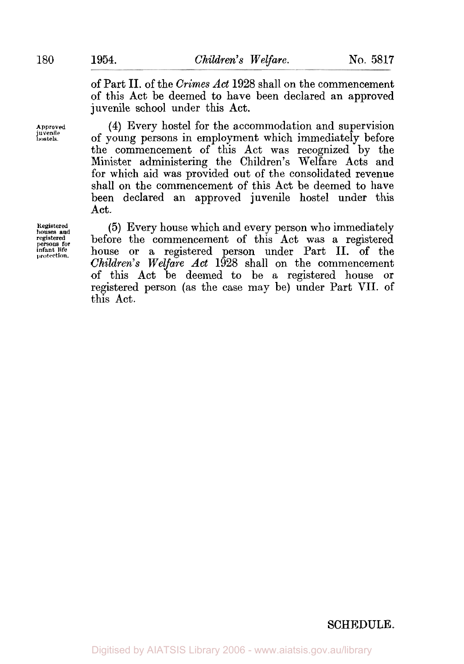of Part II. of the *Crimes Act* 1928 shall on the commencement of this Act be deemed to have been declared an approved juvenile school under this Act.

(4) Every hostel for the accommodation and supervision of young persons in employment which immediately before the commencement of this Act was recognized by the Minister administering the Children's Welfare Acts and for which aid was provided out of the consolidated revenue shall on the commencement of this Act be deemed to have been declared an approved juvenile hostel under this Act.

(5) Every house which and every person who immediately before the commencement of this Act was a registered house or a registered person under Part II. of the *Children's Welfare Act* 1928 shall on the commencement of this Act be deemed to be a registered house or registered person (as the case may be) under Part VII. of this Act.

**Approved juvenile hostels.** 

**Registered houses and registered persons for infant life protection.** 

# SCHEDULE.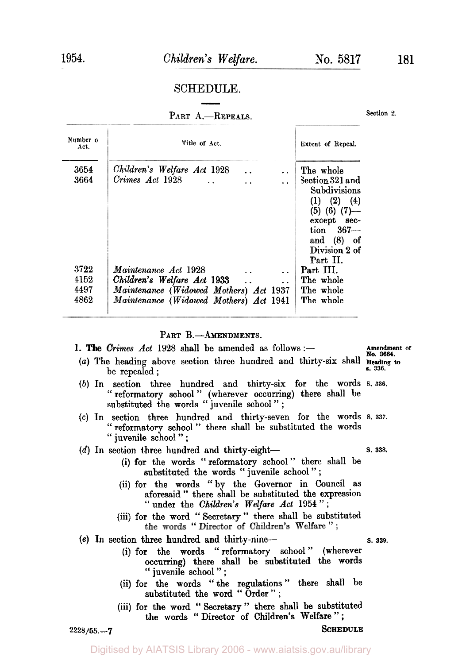### SCHEDULE.

#### PART A.-REPEALS.

| Number o<br>Act. | Title of Act.                                                             | Extent of Repeal.                                                                                                                                                   |
|------------------|---------------------------------------------------------------------------|---------------------------------------------------------------------------------------------------------------------------------------------------------------------|
| 3654<br>3664     | Children's Welfare Act 1928<br>Crimes Act 1928                            | The whole<br>Section 321 and<br>Subdivisions<br>$(1)$ $(2)$ $(4)$<br>$(5)$ $(6)$ $(7)$ —<br>except sec-<br>$\tan$ 367-<br>and $(8)$ of<br>Division 2 of<br>Part II. |
| 3722             | Maintenance Act 1928<br><b>Alberta Controller</b><br>$\ddot{\phantom{0}}$ | Part III.                                                                                                                                                           |
| 4152             | Children's Welfare Act 1933                                               | The whole                                                                                                                                                           |
| 4497             | Maintenance (Widowed Mothers) Act 1937                                    | The whole                                                                                                                                                           |
| 4862             | Maintenance (Widowed Mothers) Act 1941                                    | The whole                                                                                                                                                           |

PART B.-AMENDMENTS.

1. The Crimes Act 1928 shall be amended as follows:-

- Amendment of **No. 3664. s. 336.**  *(a)* The heading above section three hundred and thirty-six shall Heading **to**  be repealed ;
- (b) In section three hundred and thirty-six for the words **S. 336.**  " reformatory school " (wherever occurring) there shall be substituted the words "juvenile school";
- *(c)* In section three hundred and thirty-seven for the words *s.* **337.**  " reformatory school " there shall be substituted the words " juvenile school " ;

(d) In section three hundred and thirty-eight **S. 338. S. 338.** 

- 
- (i) for the words "reformatory school" there shall be substituted the words "juvenile school";
- (ii) for the words "by the Governor in Council as aforesaid " there shall be substituted the expression "under the *Children's Welfare Act* **1954";**
- (iii) **for** the word " Secretary " there shall be substituted **the words** *"* **Director of** *Children's* **Welfare** *"* .
- **(e)** In section three hundred and thirty-nine- **s. 339.** 
	- (i) for the words " reformatory school " (wherever occurring) there shall be substituted the **words**  " juvenile school " ;
	- (ii) for the words " the regulations " there shall be substituted the word "Order";
	- (iii) for the word " Secretary " there shall be substituted the words "Director of Children's Welfare";

**2228/55.-7 SCHEDULE** 

Section 2.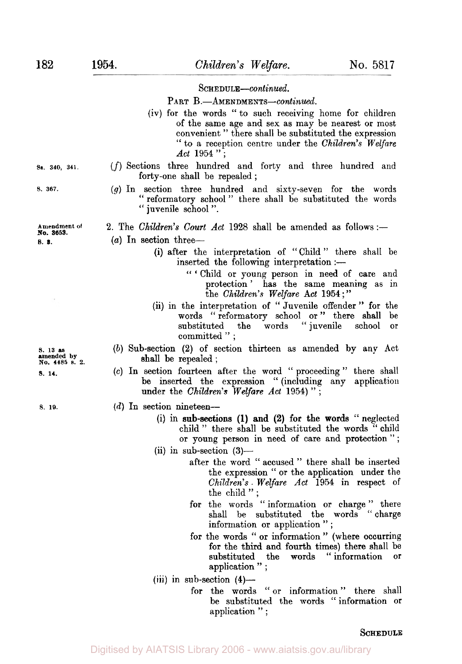#### *Schedule-continued.*

PART B.-AMENDMENTS-continued.

- (iv) for the words " to such receiving home for children of the same age and sex as may be nearest or most convenient " there shall be substituted the expression " to a reception centre under the *Children's Welfare Act* 1954"
- **Sa. 340, 341** *(f)* Sections three hundred and forty and three hundred and forty-one shall be repealed ;
- *s.* **367.** *(g)* In section three hundred and sixty-seven for the words " reformatory school " there shall be substituted the words " juvenile school ".

2. The *Children's Court Act* 1928 shall be amended as follows:-

(a) In section three-

- **(i)** after the interpretation of " Child " there shall be inserted the following interpretation :
	- **c<** ' Child or young person in need of care and protection' has the same meaning as in the *Children's Welfare Act* 1954;"
- (ii) in the interpretation of **"** Juvenile offender " for the words " reformatory school or " there shall be substituted the words " juvenile school or substituted the words "juvenile committed " ;
- *(b)* Sub-section **(2)** of section thirteen as amended by any Act shall be repealed ;
- **(c)** In section fourteen after the word "proceeding" there shall be inserted the expression " (including any application under the *Children's Welfare Act* 1954) " ;

#### *s.* **1s.** *(d)* In section nineteen-

- (i) in sub-sections (1) and (2) for the words "neglected child" there shall be substituted the words "child" or young person in need of care and protection";
- $(ii)$  in sub-section  $(3)$ 
	- after the word " accused " there shall be inserted the expression " or the application under the *Children's. Welfare Act* 1954 in respect of the child";
	- for the words " information or charge " there shall be substituted the words " charge information or application " ;
	- for the words " **or** information " (where occurring for the third and fourth times) there shall be substituted the words " information or application";
- (iii) in sub-section  $(4)$ 
	- for the words "or information" there shall be substituted the words " information or application " ;

#### *SCHEDULE*

**S. 13 as amended NO. 4485 by s. 2.** 

Amendment of No. 3653. *s.* **3.** 

**S. 14.**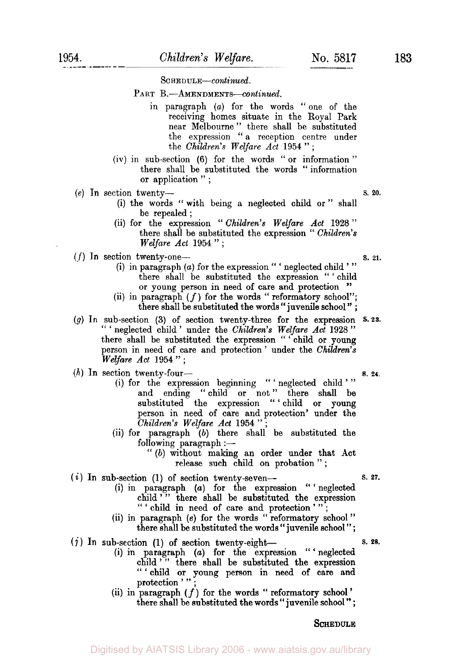*Schedule-continued.* 

PART B.-AMENDMENTS-continued.

- in paragraph *(a)* for the words "one of the receiving homes situate in the Royal Park near Melbourne " there shall be substituted the expression " a reception centre under the *Children's Welfare Act* **<sup>1954</sup>**" ;
- (iv) in sub-section (6) for the words "or information" there shall be substituted the words " information or application " ;
- *(e)* In section twenty- s. *20.* 
	- (i) the words "with being a neglected child or" shall be repealed ;
	- (ii) for the expression " *Children's Welfare Act* **<sup>1928</sup>**" there shall be substituted the expression " *Children's Welfare Act* **1954";**

 $(f)$  In section twenty-one-<br>**s. 21.** 

- (i) in paragraph *(a)* for the expression " ' neglected child ' "  $\alpha$  paragraph (a) for the expression  $\alpha$  regrected climate there shall be substituted the expression " ' child or voung nerson in need of care and protection " or young person in need of care and protection
- (ii) in paragraph  $(f)$  for the words " reformatory school";<br>there shall be substituted the words " juvenile school";
- *(g)* In sub-section (3) of section twenty-three for the expression **S.23.**  " ' neglected child ' under the *Children's Welfare Act* **<sup>1928</sup>**" there shall be substituted the expression " ' child or young person in need of care and protection ' under the *Children's Welfare* Act **1954";**

(h) **In** section twenty-four- *s.* **24.** 

- (i) for the expression beginning " ' neglected child '" and ending "child or not" there shall be substituted the expression " child or young person in need of care and protection' under the *Children's Welfare* Act **<sup>1954</sup>**" ;
- (ii) for paragraph (b) there shall be substituted the  $f$ ollowing paragraph : $-$ 
	- "(b) without making an order under that Act release such child on probation";

 $(i)$  In sub-section  $(1)$  of section twenty-seven-  $\blacksquare$  s. 27.

- (i) in paragraph *(a)* for the expression " 'neglected  $child'$  there shall be substituted the expression " ' child in need of care and protection '";
- (ii) in paragraph (e) for the words "reformatory school" there shall be substituted the words " juvenile school " ;
- $(i)$  In sub-section  $(l)$  of section twenty-eight  $\qquad$  s. 28.
	- (i) in paragraph *(a)* for the expression " ' neglected child"" there shall be substituted the expression "'child or young person in need of care and protection ' "
	- (ii) in paragraph  $(f)$  for the words " reformatory school " there shall be substituted the words " juvenile school " ;

**SCHEDULE**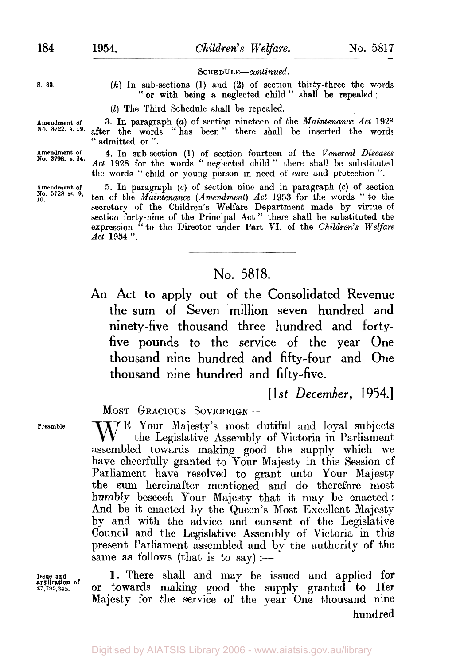**SCHEDULE-continued.** 

"or with being a neglected child" shall be repealed;

s. **33.** *(k)* In sub-sections **(1)** and **(2) of** section thirty-three the words

**Amendment of 3.** In paragraph *(a)* of section nineteen of the *Maintenance Act* 1928 after the words "has been" there shall be inserted the words " admitted **or** ".

*(I)* The Third Schedule shall be repealed.

**Amendment of 4.** In sub-section (1) of section fourteen **of** the *Venereal Diseases*  Act 1928 for the words "neglected child" there shall be substituted the words '' child or young person in need of care and protection ". **No. 3798. s. 14.** 

> 5. In paragraph *(c)* of section nine and in paragraph *(c)* of section **ten** of the *Maintenance (Amendment) Act* **1953** for the words "to the secretary of the Children's Welfare Department made by virtue of section forty-nine of the Principal Act " there shall be substituted the expression "to the Director under Part VI. of the *Children's Welfare Act* **1954** ".

# No. 5818.

An Act to apply out of the Consolidated Revenue the **sum** of Seven million seven hundred and ninety-five thousand three hundred and fortyfive pounds to the service of the year One thousand nine hundred and fifty-four and One thousand nine hundred and fifty-five.

[ **1** *st December,*  1954.]

MOST **GRACIOUS SOVEREIGN-**

Preamble. W<sup>E</sup> Your Majesty's most dutiful and loyal subjects the Legislative Assembly of Victoria in Parliament assembled towards making good the supply which we have cheerfully granted to Your Majesty in this Session of Parliament have resolved to grant unto Your Majesty the sum hereinafter mentioned and do therefore most humbly beseech Your Majesty that it may be enacted: And be it enacted by the Queen's Most Excellent Majesty by and with the advice and consent of the Legislative Council and the Legislative Assembly of Victoria in this present Parliament assembled and by the authority of the same as follows (that is to say) :—

**application of** 

**Issue and 1.** There shall and may be issued and applied for or towards making good the supply granted to Her Majesty for the service of the year One thousand nine hundred

**Amendment of No. 5728 ss. 9, 10.**